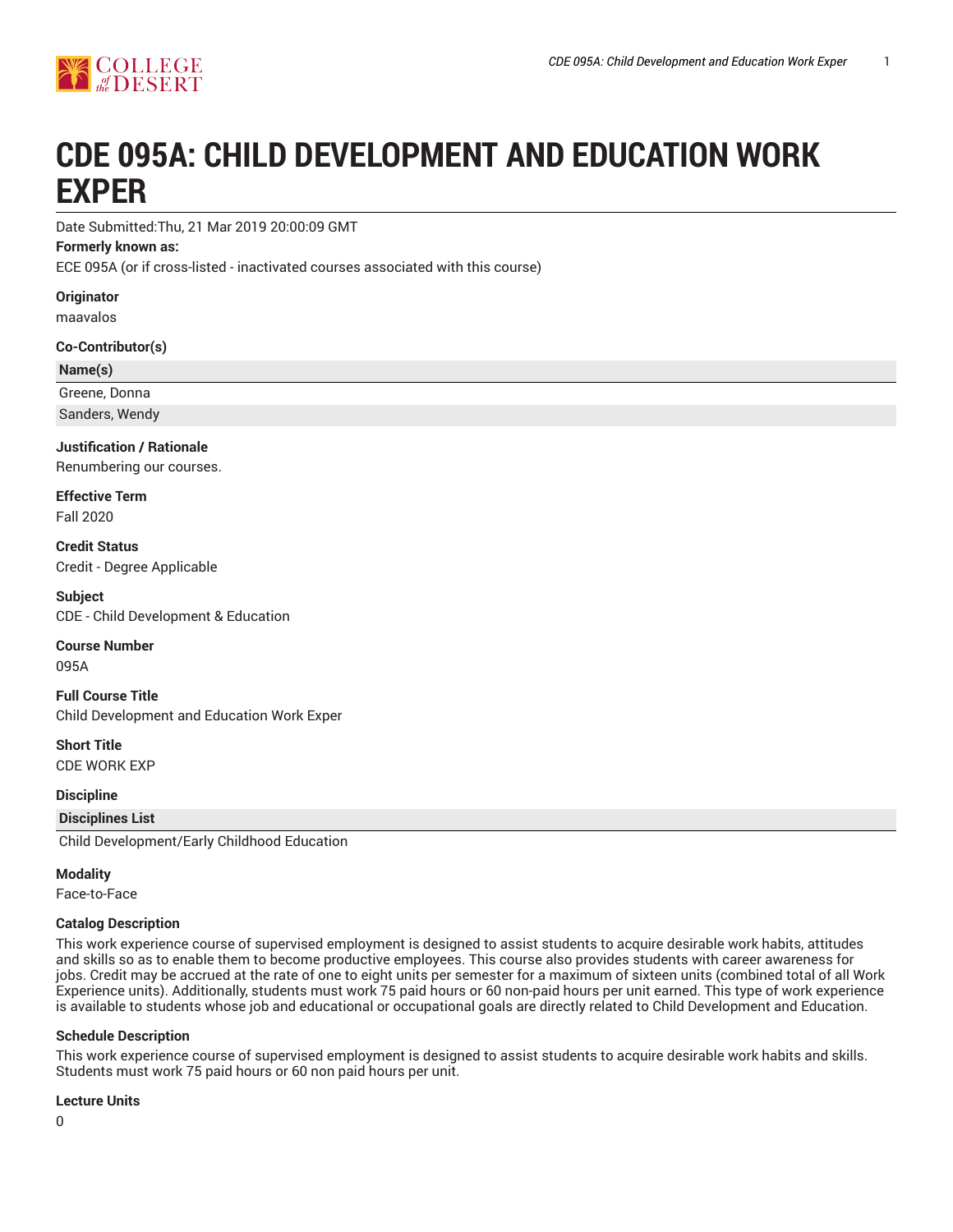

# **CDE 095A: CHILD DEVELOPMENT AND EDUCATION WORK EXPER**

Date Submitted:Thu, 21 Mar 2019 20:00:09 GMT

#### **Formerly known as:**

ECE 095A (or if cross-listed - inactivated courses associated with this course)

**Originator**

maavalos

**Co-Contributor(s)**

#### **Name(s)**

Greene, Donna

Sanders, Wendy

**Justification / Rationale**

Renumbering our courses.

**Effective Term** Fall 2020

**Credit Status** Credit - Degree Applicable

**Subject** CDE - Child Development & Education

**Course Number** 095A

**Full Course Title** Child Development and Education Work Exper

**Short Title** CDE WORK EXP

**Discipline**

**Disciplines List**

Child Development/Early Childhood Education

#### **Modality**

Face-to-Face

#### **Catalog Description**

This work experience course of supervised employment is designed to assist students to acquire desirable work habits, attitudes and skills so as to enable them to become productive employees. This course also provides students with career awareness for jobs. Credit may be accrued at the rate of one to eight units per semester for a maximum of sixteen units (combined total of all Work Experience units). Additionally, students must work 75 paid hours or 60 non-paid hours per unit earned. This type of work experience is available to students whose job and educational or occupational goals are directly related to Child Development and Education.

#### **Schedule Description**

This work experience course of supervised employment is designed to assist students to acquire desirable work habits and skills. Students must work 75 paid hours or 60 non paid hours per unit.

#### **Lecture Units**

0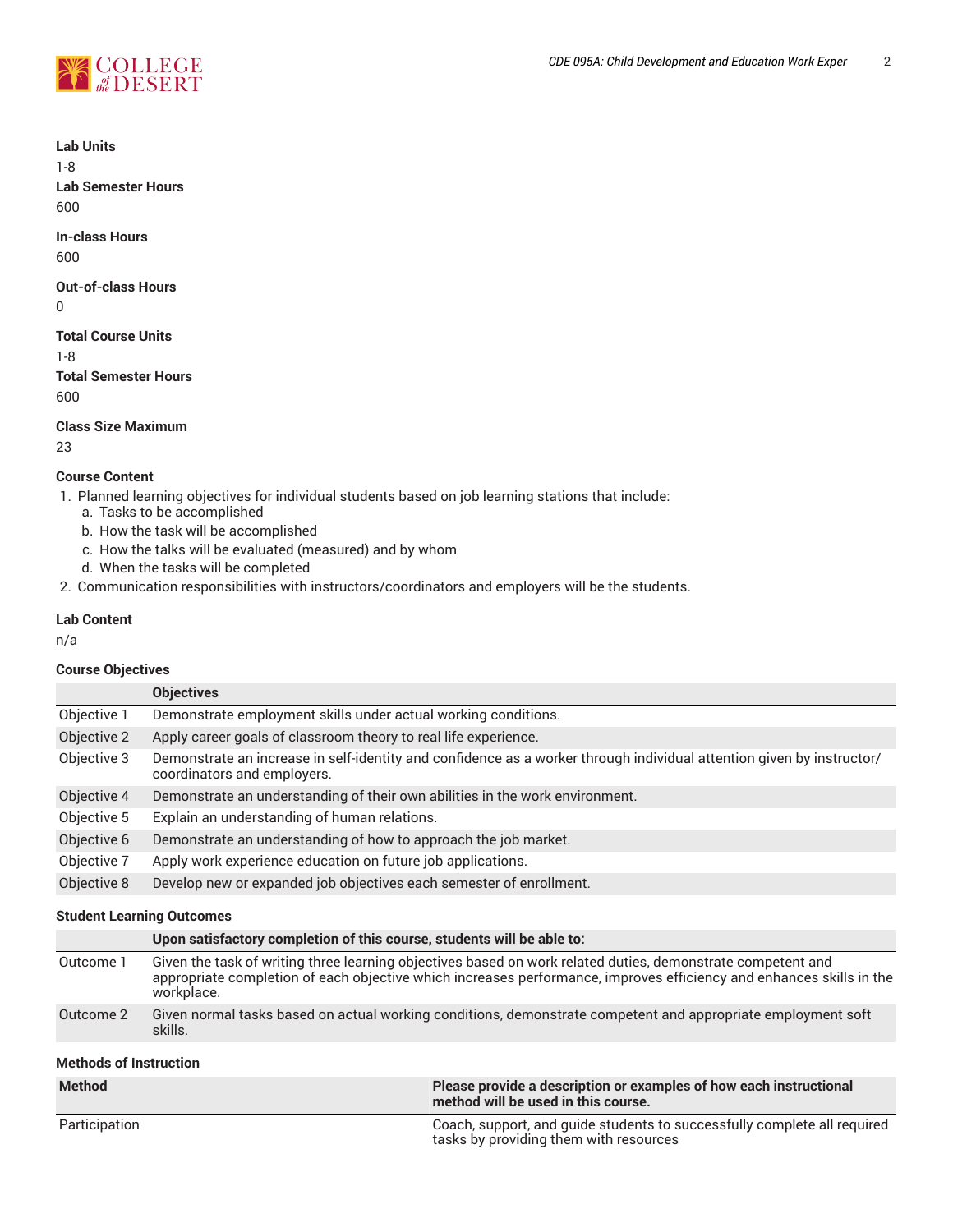

**Lab Units**

1-8

**Lab Semester Hours** 600

**In-class Hours**

600

#### **Out-of-class Hours** 0

**Total Course Units** 1-8 **Total Semester Hours** 600

**Class Size Maximum**

23

# **Course Content**

- 1. Planned learning objectives for individual students based on job learning stations that include:
	- a. Tasks to be accomplished
	- b. How the task will be accomplished
	- c. How the talks will be evaluated (measured) and by whom
	- d. When the tasks will be completed
- 2. Communication responsibilities with instructors/coordinators and employers will be the students.

# **Lab Content**

n/a

# **Course Objectives**

|             | <b>Objectives</b>                                                                                                                                    |
|-------------|------------------------------------------------------------------------------------------------------------------------------------------------------|
| Objective 1 | Demonstrate employment skills under actual working conditions.                                                                                       |
| Objective 2 | Apply career goals of classroom theory to real life experience.                                                                                      |
| Objective 3 | Demonstrate an increase in self-identity and confidence as a worker through individual attention given by instructor/<br>coordinators and employers. |
| Objective 4 | Demonstrate an understanding of their own abilities in the work environment.                                                                         |
| Objective 5 | Explain an understanding of human relations.                                                                                                         |
| Objective 6 | Demonstrate an understanding of how to approach the job market.                                                                                      |
| Objective 7 | Apply work experience education on future job applications.                                                                                          |
| Objective 8 | Develop new or expanded job objectives each semester of enrollment.                                                                                  |

# **Student Learning Outcomes**

|           | Upon satisfactory completion of this course, students will be able to:                                                                                                                                                                            |
|-----------|---------------------------------------------------------------------------------------------------------------------------------------------------------------------------------------------------------------------------------------------------|
| Outcome 1 | Given the task of writing three learning objectives based on work related duties, demonstrate competent and<br>appropriate completion of each objective which increases performance, improves efficiency and enhances skills in the<br>workplace. |
| Outcome 2 | Given normal tasks based on actual working conditions, demonstrate competent and appropriate employment soft<br>skills.                                                                                                                           |

# **Methods of Instruction**

| <b>Method</b> | Please provide a description or examples of how each instructional<br>method will be used in this course.          |
|---------------|--------------------------------------------------------------------------------------------------------------------|
| Participation | Coach, support, and guide students to successfully complete all required<br>tasks by providing them with resources |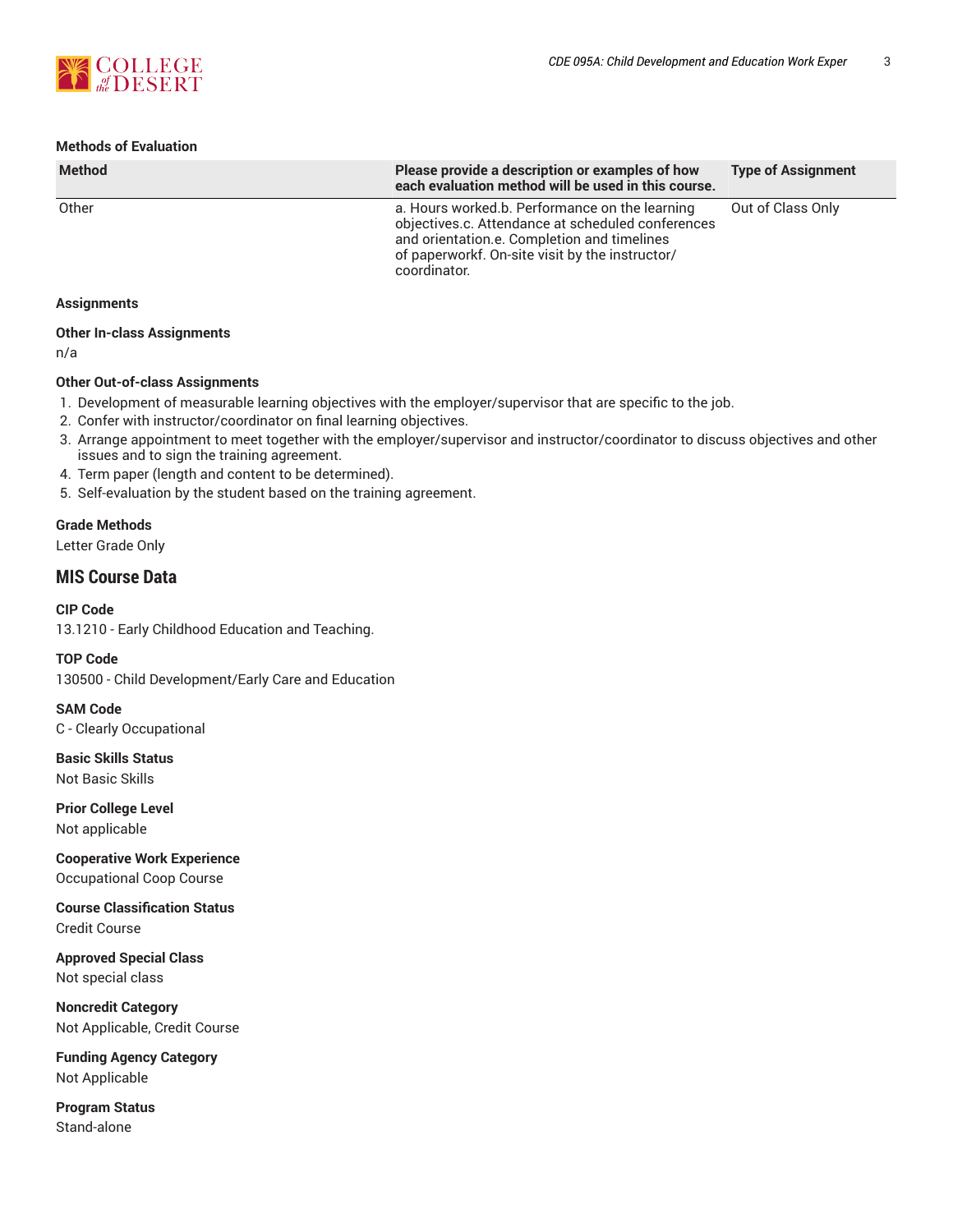

# **Methods of Evaluation**

| <b>Method</b> | Please provide a description or examples of how<br>each evaluation method will be used in this course.                                                                                                                | <b>Type of Assignment</b> |
|---------------|-----------------------------------------------------------------------------------------------------------------------------------------------------------------------------------------------------------------------|---------------------------|
| Other         | a. Hours worked b. Performance on the learning<br>objectives.c. Attendance at scheduled conferences<br>and orientation.e. Completion and timelines<br>of paperworkf. On-site visit by the instructor/<br>coordinator. | Out of Class Only         |

#### **Assignments**

# **Other In-class Assignments**

n/a

#### **Other Out-of-class Assignments**

1. Development of measurable learning objectives with the employer/supervisor that are specific to the job.

- 2. Confer with instructor/coordinator on final learning objectives.
- 3. Arrange appointment to meet together with the employer/supervisor and instructor/coordinator to discuss objectives and other issues and to sign the training agreement.
- 4. Term paper (length and content to be determined).
- 5. Self-evaluation by the student based on the training agreement.

# **Grade Methods**

Letter Grade Only

# **MIS Course Data**

**CIP Code** 13.1210 - Early Childhood Education and Teaching.

**TOP Code** 130500 - Child Development/Early Care and Education

**SAM Code** C - Clearly Occupational

**Basic Skills Status** Not Basic Skills

**Prior College Level** Not applicable

**Cooperative Work Experience** Occupational Coop Course

**Course Classification Status** Credit Course

**Approved Special Class** Not special class

**Noncredit Category** Not Applicable, Credit Course

**Funding Agency Category** Not Applicable

**Program Status** Stand-alone